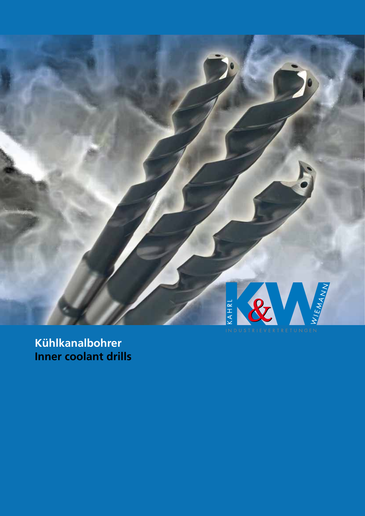

**Kühlkanalbohrer Inner coolant drills**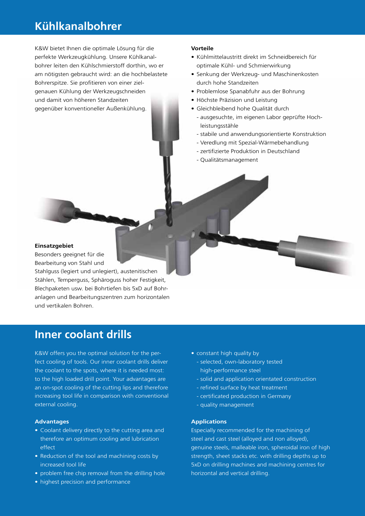## **Kühlkanalbohrer**

K&W bietet Ihnen die optimale Lösung für die perfekte Werkzeugkühlung. Unsere Kühlkanalbohrer leiten den Kühlschmierstoff dorthin, wo er am nötigsten gebraucht wird: an die hochbelastete Bohrerspitze. Sie profitieren von einer zielgenauen Kühlung der Werkzeugschneiden und damit von höheren Standzeiten gegenüber konventioneller Außenkühlung.

### **Vorteile**

- • Kühlmittelaustritt direkt im Schneidbereich für optimale Kühl- und Schmierwirkung
- Senkung der Werkzeug- und Maschinenkosten durch hohe Standzeiten
- Problemlose Spanabfuhr aus der Bohrung
- • Höchste Präzision und Leistung
- Gleichbleibend hohe Qualität durch
	- ausgesuchte, im eigenen Labor geprüfte Hochleistungsstähle
	- stabile und anwendungsorientierte Konstruktion
	- Veredlung mit Spezial-Wärmebehandlung
	- zertifizierte Produktion in Deutschland
	- Qualitätsmanagement

#### **Einsatzgebiet**

Besonders geeignet für die Bearbeitung von Stahl und Stahlguss (legiert und unlegiert), austenitischen Stählen, Temperguss, Sphäroguss hoher Festigkeit, Blechpaketen usw. bei Bohrtiefen bis 5xD auf Bohranlagen und Bearbeitungszentren zum horizontalen und vertikalen Bohren.

## **Inner coolant drills**

K&W offers you the optimal solution for the perfect cooling of tools. Our inner coolant drills deliver the coolant to the spots, where it is needed most: to the high loaded drill point. Your advantages are an on-spot cooling of the cutting lips and therefore increasing tool life in comparison with conventional external cooling.

#### **Advantages**

- Coolant delivery directly to the cutting area and therefore an optimum cooling and lubrication effect
- Reduction of the tool and machining costs by increased tool life
- problem free chip removal from the drilling hole
- highest precision and performance
- constant high quality by
	- selected, own-laboratory tested high-performance steel
	- solid and application orientated construction
	- refined surface by heat treatment
	- certificated production in Germany
	- quality management

#### **Applications**

Especially recommended for the machining of steel and cast steel (alloyed and non alloyed), genuine steels, malleable iron, spheroidal iron of high strength, sheet stacks etc. with drilling depths up to 5xD on drilling machines and machining centres for horizontal and vertical drilling.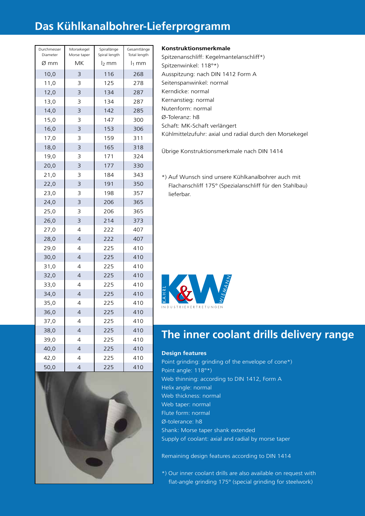## **Das Kühlkanalbohrer-Lieferprogramm**

| Durchmesser<br>Diameter | Morsekegel<br>Morse taper | Spirallänge<br>Spiral length | Gesamtlänge<br>Total length |
|-------------------------|---------------------------|------------------------------|-----------------------------|
| Ø mm                    | МK                        | l <sub>2</sub> mm            | l <sub>1</sub> mm           |
| 10,0                    | 3                         | 116                          | 268                         |
| 11,0                    | 3                         | 125                          | 278                         |
| 12,0                    | 3                         | 134                          | 287                         |
| 13,0                    | 3                         | 134                          | 287                         |
| 14,0                    | 3                         | 142                          | 285                         |
| 15,0                    | 3                         | 147                          | 300                         |
| 16,0                    | 3                         | 153                          | 306                         |
| 17,0                    | 3                         | 159                          | 311                         |
| 18,0                    | 3                         | 165                          | 318                         |
| 19,0                    | 3                         | 171                          | 324                         |
| 20,0                    | 3                         | 177                          | 330                         |
| 21,0                    | 3                         | 184                          | 343                         |
| 22,0                    | 3                         | 191                          | 350                         |
| 23,0                    | 3                         | 198                          | 357                         |
| 24,0                    | 3                         | 206                          | 365                         |
| 25,0                    | 3                         | 206                          | 365                         |
| 26,0                    | 3                         | 214                          | 373                         |
| 27,0                    | 4                         | 222                          | 407                         |
| 28,0                    | 4                         | 222                          | 407                         |
| 29,0                    | 4                         | 225                          | 410                         |
| 30,0                    | $\overline{4}$            | 225                          | 410                         |
| 31,0                    | 4                         | 225                          | 410                         |
| 32,0                    | $\overline{4}$            | 225                          | 410                         |
| 33,0                    | 4                         | 225                          | 410                         |
| 34,0                    | $\overline{4}$            | 225                          | 410                         |
| 35,0                    | 4                         | 225                          | 410                         |
| 36,0                    | $\overline{4}$            | 225                          | 410                         |
| 37,0                    | 4                         | 225                          | 410                         |
| 38,0                    | $\overline{4}$            | 225                          | 410                         |
| 39,0                    | 4                         | 225                          | 410                         |
| 40,0                    | $\overline{4}$            | 225                          | 410                         |
| 42,0                    | 4                         | 225                          | 410                         |
| 50,0                    | $\overline{\mathcal{L}}$  | 225                          | 410                         |



## **Konstruktionsmerkmale**

Spitzenanschliff: Kegelmantelanschliff\*) Spitzenwinkel: 118°\*) Ausspitzung: nach DIN 1412 Form A Seitenspanwinkel: normal Kerndicke: normal Kernanstieg: normal Nutenform: normal Ø-Toleranz: h8 Schaft: MK-Schaft verlängert Kühlmittelzufuhr: axial und radial durch den Morsekegel

Übrige Konstruktionsmerkmale nach DIN 1414

\*) Auf Wunsch sind unsere Kühlkanalbohrer auch mit Flachanschliff 175° (Spezialanschliff für den Stahlbau) lieferbar.



## **The inner coolant drills delivery range**

## **Design features**

Point grinding: grinding of the envelope of cone\*) Point angle: 118°\*) Web thinning: according to DIN 1412, Form A Helix angle: normal Web thickness: normal Web taper: normal Flute form: normal Ø-tolerance: h8 Shank: Morse taper shank extended Supply of coolant: axial and radial by morse taper

Remaining design features according to DIN 1414

\*) Our inner coolant drills are also available on request with flat-angle grinding 175° (special grinding for steelwork)